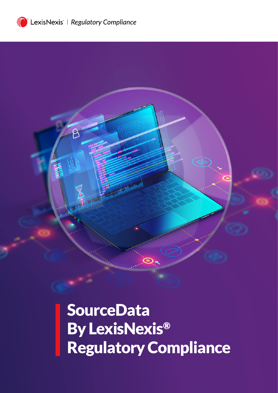

g

**SourceData** By LexisNexis® Regulatory Compliance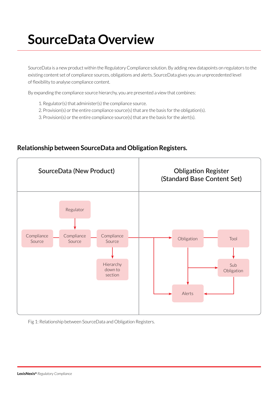## **SourceData Overview**

SourceData is a new product within the Regulatory Compliance solution. By adding new datapoints on regulators to the existing content set of compliance sources, obligations and alerts. SourceData gives you an unprecedented level of flexibility to analyse compliance content.

By expanding the compliance source hierarchy, you are presented a view that combines:

- 1. Regulator(s) that administer(s) the compliance source.
- 2. Provision(s) or the entire compliance source(s) that are the basis for the obligation(s).
- 3. Provision(s) or the entire compliance source(s) that are the basis for the alert(s).



## **Relationship between SourceData and Obligation Registers.**

Fig 1: Relationship between SourceData and Obligation Registers.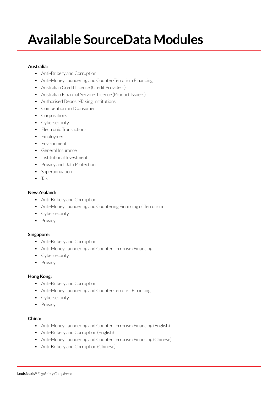# **Available SourceData Modules**

#### **Australia:**

- Anti-Bribery and Corruption
- Anti-Money Laundering and Counter-Terrorism Financing
- Australian Credit Licence (Credit Providers)
- Australian Financial Services Licence (Product Issuers)
- Authorised Deposit-Taking Institutions
- Competition and Consumer
- Corporations
- Cybersecurity
- Electronic Transactions
- Employment
- Environment
- General Insurance
- Institutional Investment
- Privacy and Data Protection
- Superannuation
- Tax

#### **New Zealand:**

- Anti-Bribery and Corruption
- Anti-Money Laundering and Countering Financing of Terrorism
- Cybersecurity
- Privacy

#### **Singapore:**

- Anti-Bribery and Corruption
- Anti-Money Laundering and Counter Terrorism Financing
- Cybersecurity
- Privacy

#### **Hong Kong:**

- Anti-Bribery and Corruption
- Anti-Money Laundering and Counter-Terrorist Financing
- Cybersecurity
- Privacy

#### **China:**

- Anti-Money Laundering and Counter Terrorism Financing (English)
- Anti-Bribery and Corruption (English)
- Anti-Money Laundering and Counter Terrorism Financing (Chinese)
- Anti-Bribery and Corruption (Chinese)